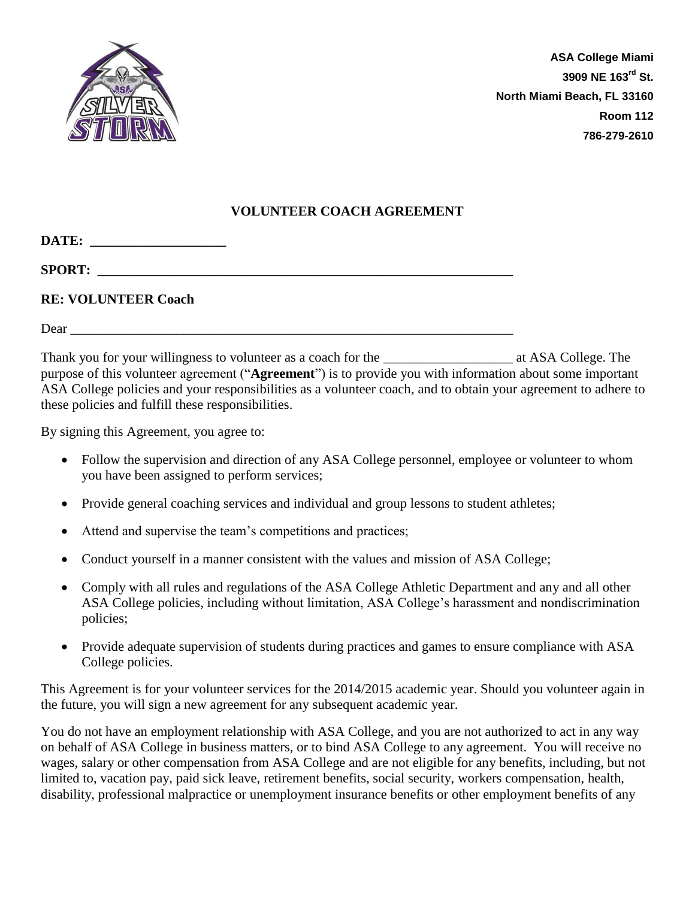

## **VOLUNTEER COACH AGREEMENT**

**DATE: \_\_\_\_\_\_\_\_\_\_\_\_\_\_\_\_\_\_\_\_** 

 ${\bf SPORT:}$ 

## **RE: VOLUNTEER Coach**

Dear \_\_\_\_\_\_\_\_\_\_\_\_\_\_\_\_\_\_\_\_\_\_\_\_\_\_\_\_\_\_\_\_\_\_\_\_\_\_\_\_\_\_\_\_\_\_\_\_\_\_\_\_\_\_\_\_\_\_\_\_\_\_\_\_\_

Thank you for your willingness to volunteer as a coach for the  $\alpha$  at ASA College. The purpose of this volunteer agreement ("**Agreement**") is to provide you with information about some important ASA College policies and your responsibilities as a volunteer coach, and to obtain your agreement to adhere to these policies and fulfill these responsibilities.

By signing this Agreement, you agree to:

- Follow the supervision and direction of any ASA College personnel, employee or volunteer to whom you have been assigned to perform services;
- Provide general coaching services and individual and group lessons to student athletes;
- Attend and supervise the team's competitions and practices;
- Conduct yourself in a manner consistent with the values and mission of ASA College;
- Comply with all rules and regulations of the ASA College Athletic Department and any and all other ASA College policies, including without limitation, ASA College's harassment and nondiscrimination policies;
- Provide adequate supervision of students during practices and games to ensure compliance with ASA College policies.

This Agreement is for your volunteer services for the 2014/2015 academic year. Should you volunteer again in the future, you will sign a new agreement for any subsequent academic year.

You do not have an employment relationship with ASA College, and you are not authorized to act in any way on behalf of ASA College in business matters, or to bind ASA College to any agreement. You will receive no wages, salary or other compensation from ASA College and are not eligible for any benefits, including, but not limited to, vacation pay, paid sick leave, retirement benefits, social security, workers compensation, health, disability, professional malpractice or unemployment insurance benefits or other employment benefits of any